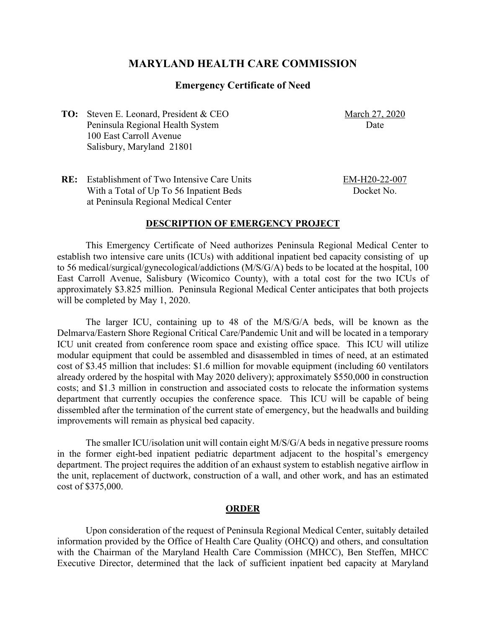# **MARYLAND HEALTH CARE COMMISSION**

## **Emergency Certificate of Need**

**TO:** Steven E. Leonard, President & CEO Peninsula Regional Health System 100 East Carroll Avenue Salisbury, Maryland 21801

March 27, 2020 Date

**RE:** Establishment of Two Intensive Care Units With a Total of Up To 56 Inpatient Beds at Peninsula Regional Medical Center

EM-H20-22-007 Docket No.

#### **DESCRIPTION OF EMERGENCY PROJECT**

This Emergency Certificate of Need authorizes Peninsula Regional Medical Center to establish two intensive care units (ICUs) with additional inpatient bed capacity consisting of up to 56 medical/surgical/gynecological/addictions (M/S/G/A) beds to be located at the hospital, 100 East Carroll Avenue, Salisbury (Wicomico County), with a total cost for the two ICUs of approximately \$3.825 million. Peninsula Regional Medical Center anticipates that both projects will be completed by May 1, 2020.

The larger ICU, containing up to 48 of the M/S/G/A beds, will be known as the Delmarva/Eastern Shore Regional Critical Care/Pandemic Unit and will be located in a temporary ICU unit created from conference room space and existing office space. This ICU will utilize modular equipment that could be assembled and disassembled in times of need, at an estimated cost of \$3.45 million that includes: \$1.6 million for movable equipment (including 60 ventilators already ordered by the hospital with May 2020 delivery); approximately \$550,000 in construction costs; and \$1.3 million in construction and associated costs to relocate the information systems department that currently occupies the conference space. This ICU will be capable of being dissembled after the termination of the current state of emergency, but the headwalls and building improvements will remain as physical bed capacity.

The smaller ICU/isolation unit will contain eight M/S/G/A beds in negative pressure rooms in the former eight-bed inpatient pediatric department adjacent to the hospital's emergency department. The project requires the addition of an exhaust system to establish negative airflow in the unit, replacement of ductwork, construction of a wall, and other work, and has an estimated cost of \$375,000.

## **ORDER**

Upon consideration of the request of Peninsula Regional Medical Center, suitably detailed information provided by the Office of Health Care Quality (OHCQ) and others, and consultation with the Chairman of the Maryland Health Care Commission (MHCC), Ben Steffen, MHCC Executive Director, determined that the lack of sufficient inpatient bed capacity at Maryland